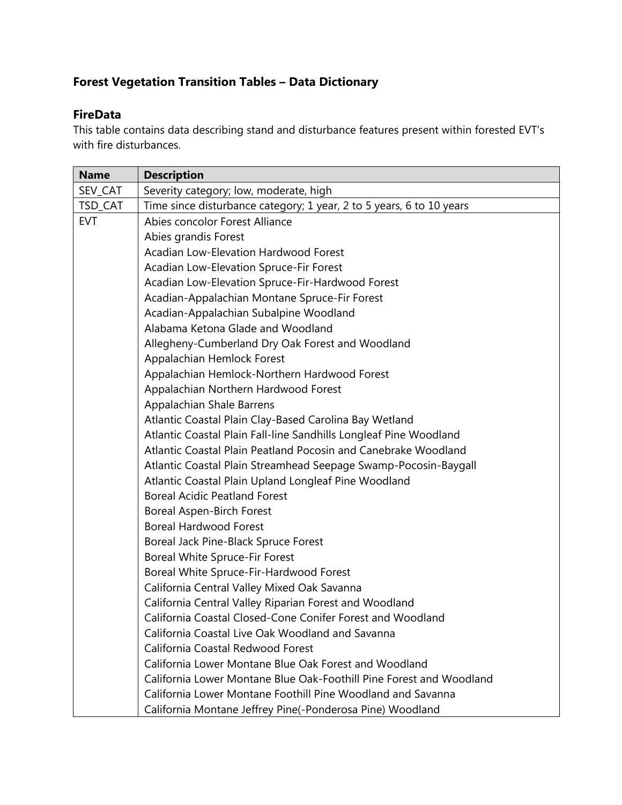## **Forest Vegetation Transition Tables – Data Dictionary**

## **FireData**

This table contains data describing stand and disturbance features present within forested EVT's with fire disturbances.

| <b>Name</b> | <b>Description</b>                                                   |
|-------------|----------------------------------------------------------------------|
| SEV_CAT     | Severity category; low, moderate, high                               |
| TSD_CAT     | Time since disturbance category; 1 year, 2 to 5 years, 6 to 10 years |
| <b>EVT</b>  | Abies concolor Forest Alliance                                       |
|             | Abies grandis Forest                                                 |
|             | <b>Acadian Low-Elevation Hardwood Forest</b>                         |
|             | Acadian Low-Elevation Spruce-Fir Forest                              |
|             | Acadian Low-Elevation Spruce-Fir-Hardwood Forest                     |
|             | Acadian-Appalachian Montane Spruce-Fir Forest                        |
|             | Acadian-Appalachian Subalpine Woodland                               |
|             | Alabama Ketona Glade and Woodland                                    |
|             | Allegheny-Cumberland Dry Oak Forest and Woodland                     |
|             | Appalachian Hemlock Forest                                           |
|             | Appalachian Hemlock-Northern Hardwood Forest                         |
|             | Appalachian Northern Hardwood Forest                                 |
|             | Appalachian Shale Barrens                                            |
|             | Atlantic Coastal Plain Clay-Based Carolina Bay Wetland               |
|             | Atlantic Coastal Plain Fall-line Sandhills Longleaf Pine Woodland    |
|             | Atlantic Coastal Plain Peatland Pocosin and Canebrake Woodland       |
|             | Atlantic Coastal Plain Streamhead Seepage Swamp-Pocosin-Baygall      |
|             | Atlantic Coastal Plain Upland Longleaf Pine Woodland                 |
|             | <b>Boreal Acidic Peatland Forest</b>                                 |
|             | <b>Boreal Aspen-Birch Forest</b>                                     |
|             | <b>Boreal Hardwood Forest</b>                                        |
|             | Boreal Jack Pine-Black Spruce Forest                                 |
|             | Boreal White Spruce-Fir Forest                                       |
|             | Boreal White Spruce-Fir-Hardwood Forest                              |
|             | California Central Valley Mixed Oak Savanna                          |
|             | California Central Valley Riparian Forest and Woodland               |
|             | California Coastal Closed-Cone Conifer Forest and Woodland           |
|             | California Coastal Live Oak Woodland and Savanna                     |
|             | California Coastal Redwood Forest                                    |
|             | California Lower Montane Blue Oak Forest and Woodland                |
|             | California Lower Montane Blue Oak-Foothill Pine Forest and Woodland  |
|             | California Lower Montane Foothill Pine Woodland and Savanna          |
|             | California Montane Jeffrey Pine(-Ponderosa Pine) Woodland            |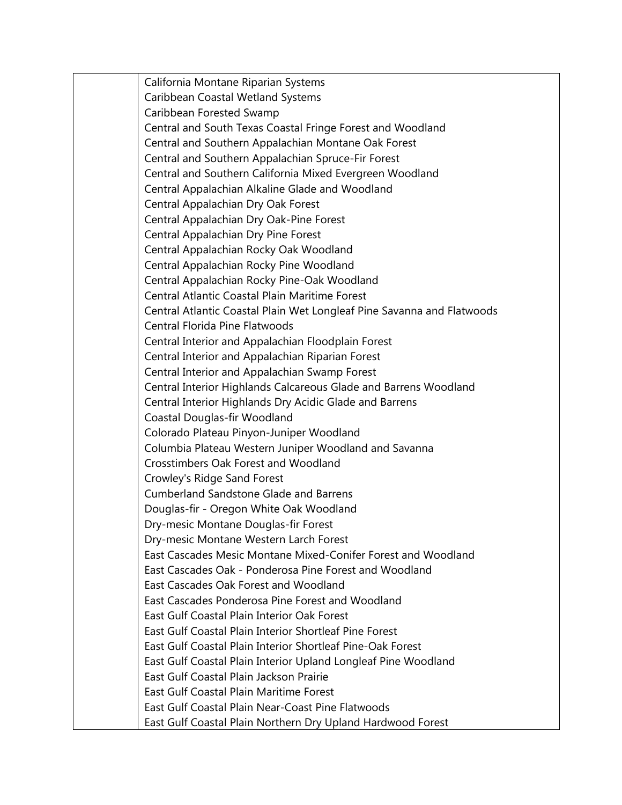California Montane Riparian Systems Caribbean Coastal Wetland Systems Caribbean Forested Swamp Central and South Texas Coastal Fringe Forest and Woodland Central and Southern Appalachian Montane Oak Forest Central and Southern Appalachian Spruce-Fir Forest Central and Southern California Mixed Evergreen Woodland Central Appalachian Alkaline Glade and Woodland Central Appalachian Dry Oak Forest Central Appalachian Dry Oak-Pine Forest Central Appalachian Dry Pine Forest Central Appalachian Rocky Oak Woodland Central Appalachian Rocky Pine Woodland Central Appalachian Rocky Pine-Oak Woodland Central Atlantic Coastal Plain Maritime Forest Central Atlantic Coastal Plain Wet Longleaf Pine Savanna and Flatwoods Central Florida Pine Flatwoods Central Interior and Appalachian Floodplain Forest Central Interior and Appalachian Riparian Forest Central Interior and Appalachian Swamp Forest Central Interior Highlands Calcareous Glade and Barrens Woodland Central Interior Highlands Dry Acidic Glade and Barrens Coastal Douglas-fir Woodland Colorado Plateau Pinyon-Juniper Woodland Columbia Plateau Western Juniper Woodland and Savanna Crosstimbers Oak Forest and Woodland Crowley's Ridge Sand Forest Cumberland Sandstone Glade and Barrens Douglas-fir - Oregon White Oak Woodland Dry-mesic Montane Douglas-fir Forest Dry-mesic Montane Western Larch Forest East Cascades Mesic Montane Mixed-Conifer Forest and Woodland East Cascades Oak - Ponderosa Pine Forest and Woodland East Cascades Oak Forest and Woodland East Cascades Ponderosa Pine Forest and Woodland East Gulf Coastal Plain Interior Oak Forest East Gulf Coastal Plain Interior Shortleaf Pine Forest East Gulf Coastal Plain Interior Shortleaf Pine-Oak Forest East Gulf Coastal Plain Interior Upland Longleaf Pine Woodland East Gulf Coastal Plain Jackson Prairie East Gulf Coastal Plain Maritime Forest East Gulf Coastal Plain Near-Coast Pine Flatwoods East Gulf Coastal Plain Northern Dry Upland Hardwood Forest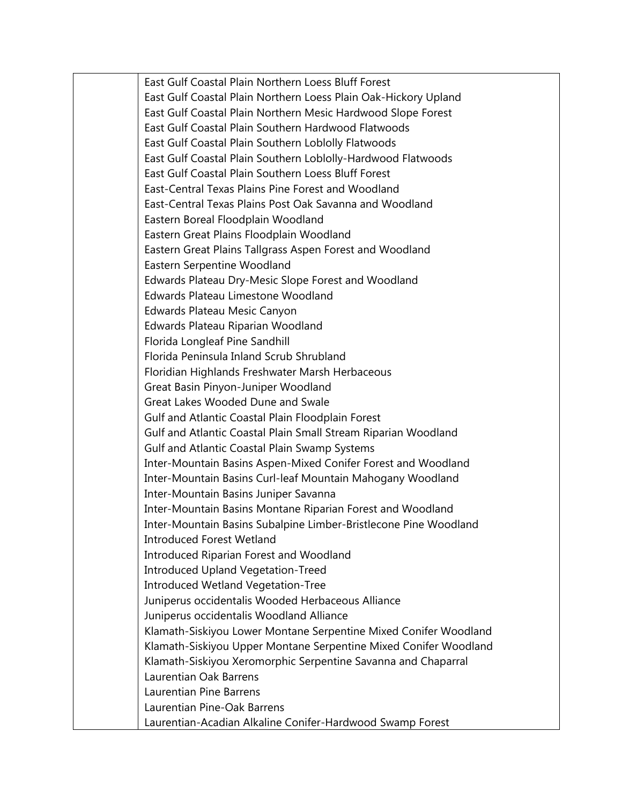East Gulf Coastal Plain Northern Loess Bluff Forest East Gulf Coastal Plain Northern Loess Plain Oak-Hickory Upland East Gulf Coastal Plain Northern Mesic Hardwood Slope Forest East Gulf Coastal Plain Southern Hardwood Flatwoods East Gulf Coastal Plain Southern Loblolly Flatwoods East Gulf Coastal Plain Southern Loblolly-Hardwood Flatwoods East Gulf Coastal Plain Southern Loess Bluff Forest East-Central Texas Plains Pine Forest and Woodland East-Central Texas Plains Post Oak Savanna and Woodland Eastern Boreal Floodplain Woodland Eastern Great Plains Floodplain Woodland Eastern Great Plains Tallgrass Aspen Forest and Woodland Eastern Serpentine Woodland Edwards Plateau Dry-Mesic Slope Forest and Woodland Edwards Plateau Limestone Woodland Edwards Plateau Mesic Canyon Edwards Plateau Riparian Woodland Florida Longleaf Pine Sandhill Florida Peninsula Inland Scrub Shrubland Floridian Highlands Freshwater Marsh Herbaceous Great Basin Pinyon-Juniper Woodland Great Lakes Wooded Dune and Swale Gulf and Atlantic Coastal Plain Floodplain Forest Gulf and Atlantic Coastal Plain Small Stream Riparian Woodland Gulf and Atlantic Coastal Plain Swamp Systems Inter-Mountain Basins Aspen-Mixed Conifer Forest and Woodland Inter-Mountain Basins Curl-leaf Mountain Mahogany Woodland Inter-Mountain Basins Juniper Savanna Inter-Mountain Basins Montane Riparian Forest and Woodland Inter-Mountain Basins Subalpine Limber-Bristlecone Pine Woodland Introduced Forest Wetland Introduced Riparian Forest and Woodland Introduced Upland Vegetation-Treed Introduced Wetland Vegetation-Tree Juniperus occidentalis Wooded Herbaceous Alliance Juniperus occidentalis Woodland Alliance Klamath-Siskiyou Lower Montane Serpentine Mixed Conifer Woodland Klamath-Siskiyou Upper Montane Serpentine Mixed Conifer Woodland Klamath-Siskiyou Xeromorphic Serpentine Savanna and Chaparral Laurentian Oak Barrens Laurentian Pine Barrens Laurentian Pine-Oak Barrens Laurentian-Acadian Alkaline Conifer-Hardwood Swamp Forest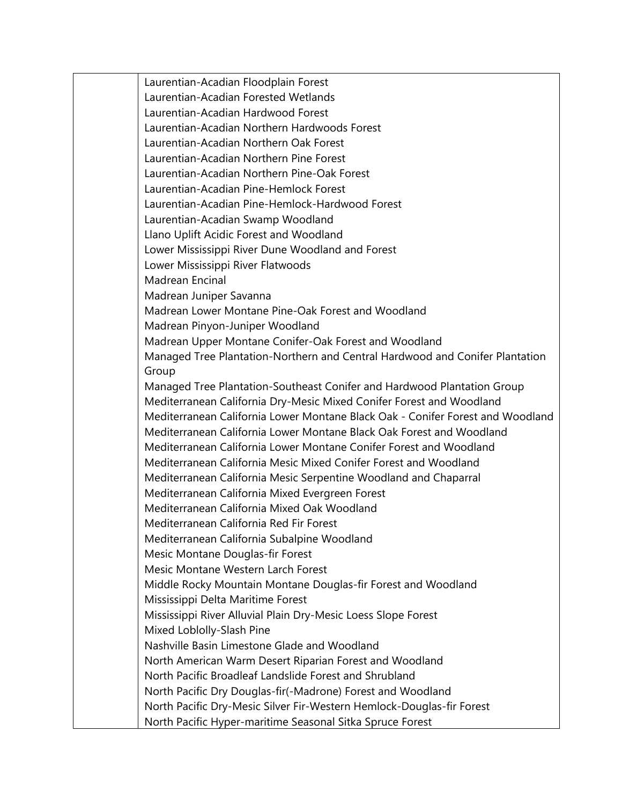| Laurentian-Acadian Floodplain Forest                                           |
|--------------------------------------------------------------------------------|
| Laurentian-Acadian Forested Wetlands                                           |
| Laurentian-Acadian Hardwood Forest                                             |
| Laurentian-Acadian Northern Hardwoods Forest                                   |
| Laurentian-Acadian Northern Oak Forest                                         |
| Laurentian-Acadian Northern Pine Forest                                        |
| Laurentian-Acadian Northern Pine-Oak Forest                                    |
| Laurentian-Acadian Pine-Hemlock Forest                                         |
| Laurentian-Acadian Pine-Hemlock-Hardwood Forest                                |
| Laurentian-Acadian Swamp Woodland                                              |
| Llano Uplift Acidic Forest and Woodland                                        |
| Lower Mississippi River Dune Woodland and Forest                               |
| Lower Mississippi River Flatwoods                                              |
| Madrean Encinal                                                                |
| Madrean Juniper Savanna                                                        |
| Madrean Lower Montane Pine-Oak Forest and Woodland                             |
| Madrean Pinyon-Juniper Woodland                                                |
| Madrean Upper Montane Conifer-Oak Forest and Woodland                          |
| Managed Tree Plantation-Northern and Central Hardwood and Conifer Plantation   |
| Group                                                                          |
| Managed Tree Plantation-Southeast Conifer and Hardwood Plantation Group        |
| Mediterranean California Dry-Mesic Mixed Conifer Forest and Woodland           |
| Mediterranean California Lower Montane Black Oak - Conifer Forest and Woodland |
| Mediterranean California Lower Montane Black Oak Forest and Woodland           |
| Mediterranean California Lower Montane Conifer Forest and Woodland             |
| Mediterranean California Mesic Mixed Conifer Forest and Woodland               |
| Mediterranean California Mesic Serpentine Woodland and Chaparral               |
| Mediterranean California Mixed Evergreen Forest                                |
| Mediterranean California Mixed Oak Woodland                                    |
| Mediterranean California Red Fir Forest                                        |
| Mediterranean California Subalpine Woodland                                    |
| Mesic Montane Douglas-fir Forest                                               |
| Mesic Montane Western Larch Forest                                             |
| Middle Rocky Mountain Montane Douglas-fir Forest and Woodland                  |
| Mississippi Delta Maritime Forest                                              |
| Mississippi River Alluvial Plain Dry-Mesic Loess Slope Forest                  |
| Mixed Loblolly-Slash Pine                                                      |
| Nashville Basin Limestone Glade and Woodland                                   |
| North American Warm Desert Riparian Forest and Woodland                        |
| North Pacific Broadleaf Landslide Forest and Shrubland                         |
| North Pacific Dry Douglas-fir(-Madrone) Forest and Woodland                    |
| North Pacific Dry-Mesic Silver Fir-Western Hemlock-Douglas-fir Forest          |
| North Pacific Hyper-maritime Seasonal Sitka Spruce Forest                      |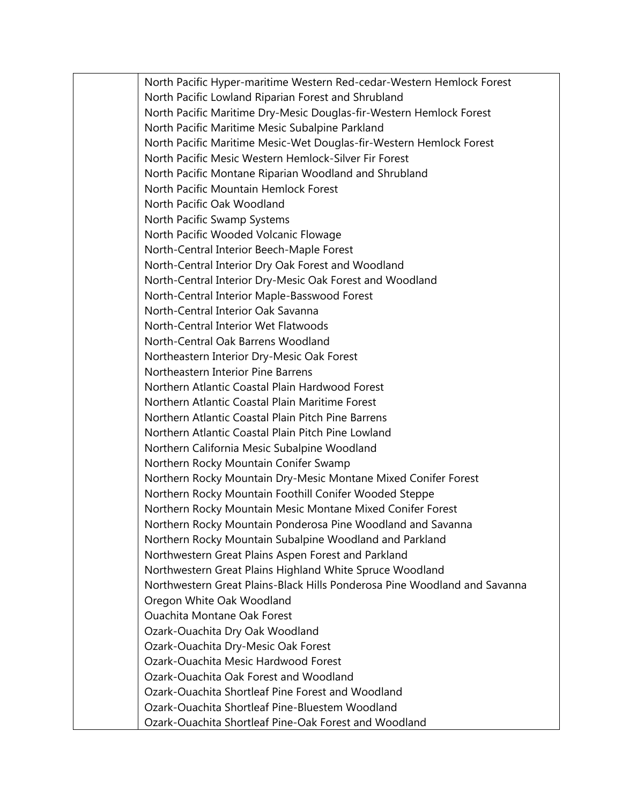North Pacific Hyper-maritime Western Red-cedar-Western Hemlock Forest North Pacific Lowland Riparian Forest and Shrubland North Pacific Maritime Dry-Mesic Douglas-fir-Western Hemlock Forest North Pacific Maritime Mesic Subalpine Parkland North Pacific Maritime Mesic-Wet Douglas-fir-Western Hemlock Forest North Pacific Mesic Western Hemlock-Silver Fir Forest North Pacific Montane Riparian Woodland and Shrubland North Pacific Mountain Hemlock Forest North Pacific Oak Woodland North Pacific Swamp Systems North Pacific Wooded Volcanic Flowage North-Central Interior Beech-Maple Forest North-Central Interior Dry Oak Forest and Woodland North-Central Interior Dry-Mesic Oak Forest and Woodland North-Central Interior Maple-Basswood Forest North-Central Interior Oak Savanna North-Central Interior Wet Flatwoods North-Central Oak Barrens Woodland Northeastern Interior Dry-Mesic Oak Forest Northeastern Interior Pine Barrens Northern Atlantic Coastal Plain Hardwood Forest Northern Atlantic Coastal Plain Maritime Forest Northern Atlantic Coastal Plain Pitch Pine Barrens Northern Atlantic Coastal Plain Pitch Pine Lowland Northern California Mesic Subalpine Woodland Northern Rocky Mountain Conifer Swamp Northern Rocky Mountain Dry-Mesic Montane Mixed Conifer Forest Northern Rocky Mountain Foothill Conifer Wooded Steppe Northern Rocky Mountain Mesic Montane Mixed Conifer Forest Northern Rocky Mountain Ponderosa Pine Woodland and Savanna Northern Rocky Mountain Subalpine Woodland and Parkland Northwestern Great Plains Aspen Forest and Parkland Northwestern Great Plains Highland White Spruce Woodland Northwestern Great Plains-Black Hills Ponderosa Pine Woodland and Savanna Oregon White Oak Woodland Ouachita Montane Oak Forest Ozark-Ouachita Dry Oak Woodland Ozark-Ouachita Dry-Mesic Oak Forest Ozark-Ouachita Mesic Hardwood Forest Ozark-Ouachita Oak Forest and Woodland Ozark-Ouachita Shortleaf Pine Forest and Woodland Ozark-Ouachita Shortleaf Pine-Bluestem Woodland Ozark-Ouachita Shortleaf Pine-Oak Forest and Woodland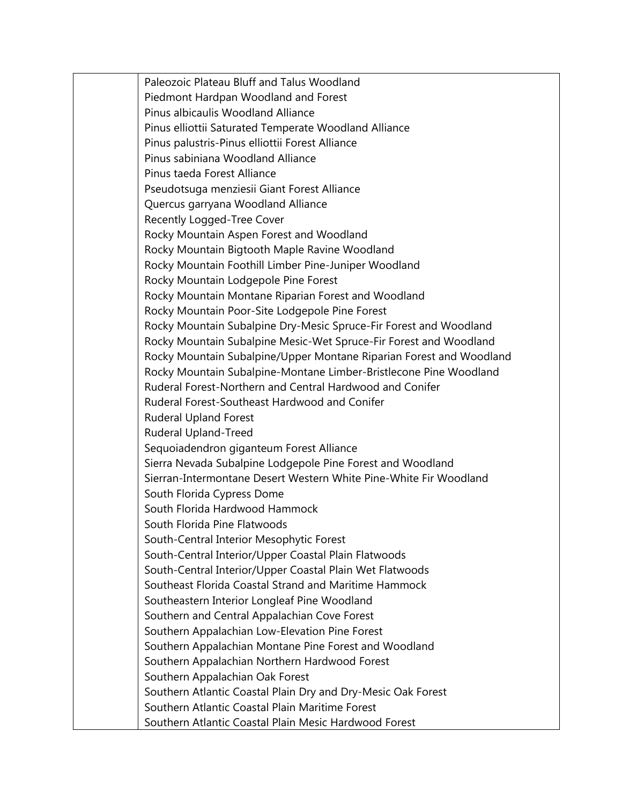Paleozoic Plateau Bluff and Talus Woodland Piedmont Hardpan Woodland and Forest Pinus albicaulis Woodland Alliance Pinus elliottii Saturated Temperate Woodland Alliance Pinus palustris-Pinus elliottii Forest Alliance Pinus sabiniana Woodland Alliance Pinus taeda Forest Alliance Pseudotsuga menziesii Giant Forest Alliance Quercus garryana Woodland Alliance Recently Logged-Tree Cover Rocky Mountain Aspen Forest and Woodland Rocky Mountain Bigtooth Maple Ravine Woodland Rocky Mountain Foothill Limber Pine-Juniper Woodland Rocky Mountain Lodgepole Pine Forest Rocky Mountain Montane Riparian Forest and Woodland Rocky Mountain Poor-Site Lodgepole Pine Forest Rocky Mountain Subalpine Dry-Mesic Spruce-Fir Forest and Woodland Rocky Mountain Subalpine Mesic-Wet Spruce-Fir Forest and Woodland Rocky Mountain Subalpine/Upper Montane Riparian Forest and Woodland Rocky Mountain Subalpine-Montane Limber-Bristlecone Pine Woodland Ruderal Forest-Northern and Central Hardwood and Conifer Ruderal Forest-Southeast Hardwood and Conifer Ruderal Upland Forest Ruderal Upland-Treed Sequoiadendron giganteum Forest Alliance Sierra Nevada Subalpine Lodgepole Pine Forest and Woodland Sierran-Intermontane Desert Western White Pine-White Fir Woodland South Florida Cypress Dome South Florida Hardwood Hammock South Florida Pine Flatwoods South-Central Interior Mesophytic Forest South-Central Interior/Upper Coastal Plain Flatwoods South-Central Interior/Upper Coastal Plain Wet Flatwoods Southeast Florida Coastal Strand and Maritime Hammock Southeastern Interior Longleaf Pine Woodland Southern and Central Appalachian Cove Forest Southern Appalachian Low-Elevation Pine Forest Southern Appalachian Montane Pine Forest and Woodland Southern Appalachian Northern Hardwood Forest Southern Appalachian Oak Forest Southern Atlantic Coastal Plain Dry and Dry-Mesic Oak Forest Southern Atlantic Coastal Plain Maritime Forest Southern Atlantic Coastal Plain Mesic Hardwood Forest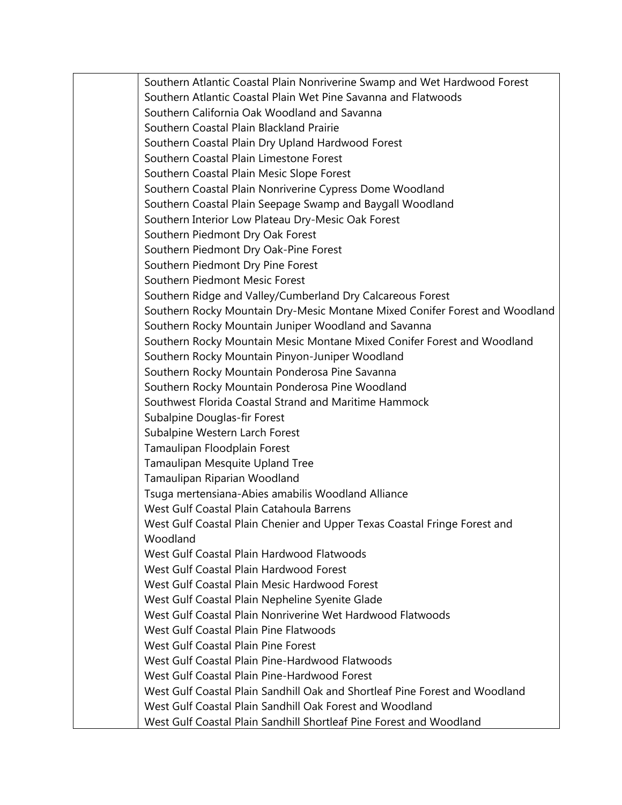Southern Atlantic Coastal Plain Nonriverine Swamp and Wet Hardwood Forest Southern Atlantic Coastal Plain Wet Pine Savanna and Flatwoods Southern California Oak Woodland and Savanna Southern Coastal Plain Blackland Prairie Southern Coastal Plain Dry Upland Hardwood Forest Southern Coastal Plain Limestone Forest Southern Coastal Plain Mesic Slope Forest Southern Coastal Plain Nonriverine Cypress Dome Woodland Southern Coastal Plain Seepage Swamp and Baygall Woodland Southern Interior Low Plateau Dry-Mesic Oak Forest Southern Piedmont Dry Oak Forest Southern Piedmont Dry Oak-Pine Forest Southern Piedmont Dry Pine Forest Southern Piedmont Mesic Forest Southern Ridge and Valley/Cumberland Dry Calcareous Forest Southern Rocky Mountain Dry-Mesic Montane Mixed Conifer Forest and Woodland Southern Rocky Mountain Juniper Woodland and Savanna Southern Rocky Mountain Mesic Montane Mixed Conifer Forest and Woodland Southern Rocky Mountain Pinyon-Juniper Woodland Southern Rocky Mountain Ponderosa Pine Savanna Southern Rocky Mountain Ponderosa Pine Woodland Southwest Florida Coastal Strand and Maritime Hammock Subalpine Douglas-fir Forest Subalpine Western Larch Forest Tamaulipan Floodplain Forest Tamaulipan Mesquite Upland Tree Tamaulipan Riparian Woodland Tsuga mertensiana-Abies amabilis Woodland Alliance West Gulf Coastal Plain Catahoula Barrens West Gulf Coastal Plain Chenier and Upper Texas Coastal Fringe Forest and Woodland West Gulf Coastal Plain Hardwood Flatwoods West Gulf Coastal Plain Hardwood Forest West Gulf Coastal Plain Mesic Hardwood Forest West Gulf Coastal Plain Nepheline Syenite Glade West Gulf Coastal Plain Nonriverine Wet Hardwood Flatwoods West Gulf Coastal Plain Pine Flatwoods West Gulf Coastal Plain Pine Forest West Gulf Coastal Plain Pine-Hardwood Flatwoods West Gulf Coastal Plain Pine-Hardwood Forest West Gulf Coastal Plain Sandhill Oak and Shortleaf Pine Forest and Woodland West Gulf Coastal Plain Sandhill Oak Forest and Woodland West Gulf Coastal Plain Sandhill Shortleaf Pine Forest and Woodland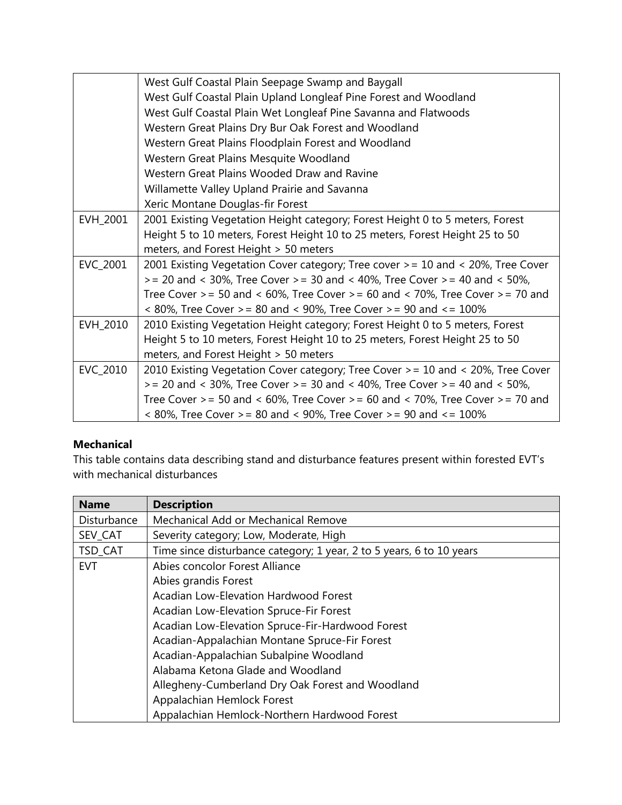|          | West Gulf Coastal Plain Seepage Swamp and Baygall                                          |
|----------|--------------------------------------------------------------------------------------------|
|          | West Gulf Coastal Plain Upland Longleaf Pine Forest and Woodland                           |
|          | West Gulf Coastal Plain Wet Longleaf Pine Savanna and Flatwoods                            |
|          | Western Great Plains Dry Bur Oak Forest and Woodland                                       |
|          | Western Great Plains Floodplain Forest and Woodland                                        |
|          | Western Great Plains Mesquite Woodland                                                     |
|          | Western Great Plains Wooded Draw and Ravine                                                |
|          | Willamette Valley Upland Prairie and Savanna                                               |
|          | Xeric Montane Douglas-fir Forest                                                           |
| EVH_2001 | 2001 Existing Vegetation Height category; Forest Height 0 to 5 meters, Forest              |
|          | Height 5 to 10 meters, Forest Height 10 to 25 meters, Forest Height 25 to 50               |
|          | meters, and Forest Height > 50 meters                                                      |
| EVC_2001 | 2001 Existing Vegetation Cover category; Tree cover > = 10 and < 20%, Tree Cover           |
|          | $>= 20$ and $<$ 30%, Tree Cover $>= 30$ and $<$ 40%, Tree Cover $>= 40$ and $<$ 50%,       |
|          | Tree Cover $>= 50$ and $< 60\%$ , Tree Cover $>= 60$ and $< 70\%$ , Tree Cover $>= 70$ and |
|          | $<$ 80%, Tree Cover > = 80 and $<$ 90%, Tree Cover > = 90 and $<=$ 100%                    |
| EVH_2010 | 2010 Existing Vegetation Height category; Forest Height 0 to 5 meters, Forest              |
|          | Height 5 to 10 meters, Forest Height 10 to 25 meters, Forest Height 25 to 50               |
|          | meters, and Forest Height > 50 meters                                                      |
| EVC_2010 | 2010 Existing Vegetation Cover category; Tree Cover > = 10 and < 20%, Tree Cover           |
|          | $>= 20$ and $<$ 30%, Tree Cover $>= 30$ and $<$ 40%, Tree Cover $>= 40$ and $<$ 50%,       |
|          | Tree Cover >= 50 and < 60%, Tree Cover >= 60 and < 70%, Tree Cover >= 70 and               |
|          | $<$ 80%, Tree Cover > = 80 and $<$ 90%, Tree Cover > = 90 and $<=$ 100%                    |

## **Mechanical**

This table contains data describing stand and disturbance features present within forested EVT's with mechanical disturbances

| <b>Name</b> | <b>Description</b>                                                   |
|-------------|----------------------------------------------------------------------|
| Disturbance | Mechanical Add or Mechanical Remove                                  |
| SEV_CAT     | Severity category; Low, Moderate, High                               |
| TSD_CAT     | Time since disturbance category; 1 year, 2 to 5 years, 6 to 10 years |
| <b>EVT</b>  | Abies concolor Forest Alliance                                       |
|             | Abies grandis Forest                                                 |
|             | Acadian Low-Elevation Hardwood Forest                                |
|             | Acadian Low-Elevation Spruce-Fir Forest                              |
|             | Acadian Low-Elevation Spruce-Fir-Hardwood Forest                     |
|             | Acadian-Appalachian Montane Spruce-Fir Forest                        |
|             | Acadian-Appalachian Subalpine Woodland                               |
|             | Alabama Ketona Glade and Woodland                                    |
|             | Allegheny-Cumberland Dry Oak Forest and Woodland                     |
|             | Appalachian Hemlock Forest                                           |
|             | Appalachian Hemlock-Northern Hardwood Forest                         |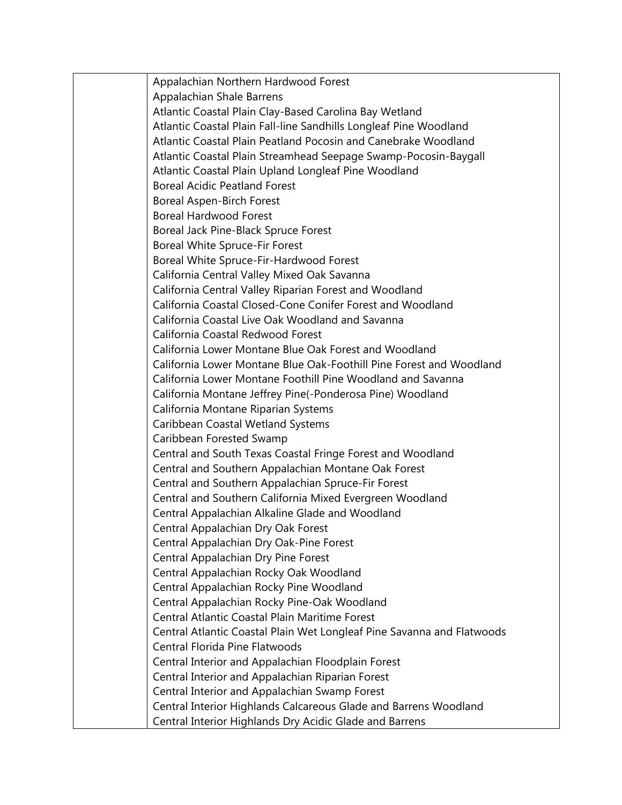Appalachian Northern Hardwood Forest Appalachian Shale Barrens Atlantic Coastal Plain Clay-Based Carolina Bay Wetland Atlantic Coastal Plain Fall-line Sandhills Longleaf Pine Woodland Atlantic Coastal Plain Peatland Pocosin and Canebrake Woodland Atlantic Coastal Plain Streamhead Seepage Swamp-Pocosin-Baygall Atlantic Coastal Plain Upland Longleaf Pine Woodland Boreal Acidic Peatland Forest Boreal Aspen-Birch Forest Boreal Hardwood Forest Boreal Jack Pine-Black Spruce Forest Boreal White Spruce-Fir Forest Boreal White Spruce-Fir-Hardwood Forest California Central Valley Mixed Oak Savanna California Central Valley Riparian Forest and Woodland California Coastal Closed-Cone Conifer Forest and Woodland California Coastal Live Oak Woodland and Savanna California Coastal Redwood Forest California Lower Montane Blue Oak Forest and Woodland California Lower Montane Blue Oak-Foothill Pine Forest and Woodland California Lower Montane Foothill Pine Woodland and Savanna California Montane Jeffrey Pine(-Ponderosa Pine) Woodland California Montane Riparian Systems Caribbean Coastal Wetland Systems Caribbean Forested Swamp Central and South Texas Coastal Fringe Forest and Woodland Central and Southern Appalachian Montane Oak Forest Central and Southern Appalachian Spruce-Fir Forest Central and Southern California Mixed Evergreen Woodland Central Appalachian Alkaline Glade and Woodland Central Appalachian Dry Oak Forest Central Appalachian Dry Oak-Pine Forest Central Appalachian Dry Pine Forest Central Appalachian Rocky Oak Woodland Central Appalachian Rocky Pine Woodland Central Appalachian Rocky Pine-Oak Woodland Central Atlantic Coastal Plain Maritime Forest Central Atlantic Coastal Plain Wet Longleaf Pine Savanna and Flatwoods Central Florida Pine Flatwoods Central Interior and Appalachian Floodplain Forest Central Interior and Appalachian Riparian Forest Central Interior and Appalachian Swamp Forest Central Interior Highlands Calcareous Glade and Barrens Woodland Central Interior Highlands Dry Acidic Glade and Barrens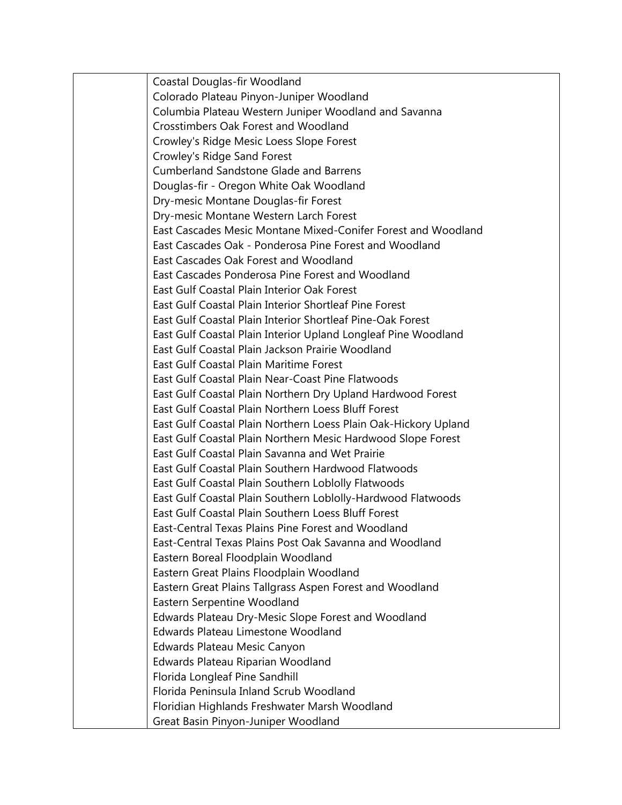Coastal Douglas-fir Woodland Colorado Plateau Pinyon-Juniper Woodland Columbia Plateau Western Juniper Woodland and Savanna Crosstimbers Oak Forest and Woodland Crowley's Ridge Mesic Loess Slope Forest Crowley's Ridge Sand Forest Cumberland Sandstone Glade and Barrens Douglas-fir - Oregon White Oak Woodland Dry-mesic Montane Douglas-fir Forest Dry-mesic Montane Western Larch Forest East Cascades Mesic Montane Mixed-Conifer Forest and Woodland East Cascades Oak - Ponderosa Pine Forest and Woodland East Cascades Oak Forest and Woodland East Cascades Ponderosa Pine Forest and Woodland East Gulf Coastal Plain Interior Oak Forest East Gulf Coastal Plain Interior Shortleaf Pine Forest East Gulf Coastal Plain Interior Shortleaf Pine-Oak Forest East Gulf Coastal Plain Interior Upland Longleaf Pine Woodland East Gulf Coastal Plain Jackson Prairie Woodland East Gulf Coastal Plain Maritime Forest East Gulf Coastal Plain Near-Coast Pine Flatwoods East Gulf Coastal Plain Northern Dry Upland Hardwood Forest East Gulf Coastal Plain Northern Loess Bluff Forest East Gulf Coastal Plain Northern Loess Plain Oak-Hickory Upland East Gulf Coastal Plain Northern Mesic Hardwood Slope Forest East Gulf Coastal Plain Savanna and Wet Prairie East Gulf Coastal Plain Southern Hardwood Flatwoods East Gulf Coastal Plain Southern Loblolly Flatwoods East Gulf Coastal Plain Southern Loblolly-Hardwood Flatwoods East Gulf Coastal Plain Southern Loess Bluff Forest East-Central Texas Plains Pine Forest and Woodland East-Central Texas Plains Post Oak Savanna and Woodland Eastern Boreal Floodplain Woodland Eastern Great Plains Floodplain Woodland Eastern Great Plains Tallgrass Aspen Forest and Woodland Eastern Serpentine Woodland Edwards Plateau Dry-Mesic Slope Forest and Woodland Edwards Plateau Limestone Woodland Edwards Plateau Mesic Canyon Edwards Plateau Riparian Woodland Florida Longleaf Pine Sandhill Florida Peninsula Inland Scrub Woodland Floridian Highlands Freshwater Marsh Woodland Great Basin Pinyon-Juniper Woodland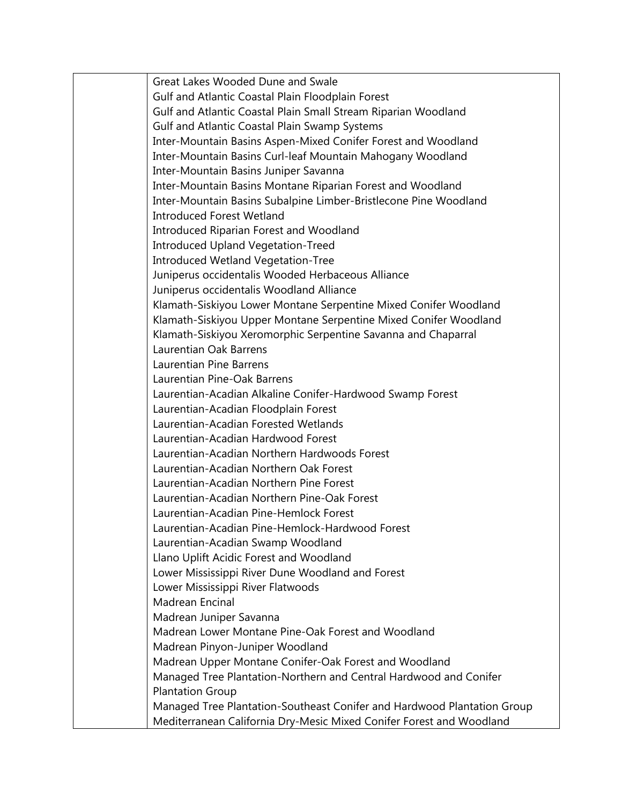| Great Lakes Wooded Dune and Swale                                       |
|-------------------------------------------------------------------------|
| Gulf and Atlantic Coastal Plain Floodplain Forest                       |
| Gulf and Atlantic Coastal Plain Small Stream Riparian Woodland          |
| Gulf and Atlantic Coastal Plain Swamp Systems                           |
| Inter-Mountain Basins Aspen-Mixed Conifer Forest and Woodland           |
| Inter-Mountain Basins Curl-leaf Mountain Mahogany Woodland              |
| Inter-Mountain Basins Juniper Savanna                                   |
| Inter-Mountain Basins Montane Riparian Forest and Woodland              |
| Inter-Mountain Basins Subalpine Limber-Bristlecone Pine Woodland        |
| <b>Introduced Forest Wetland</b>                                        |
| Introduced Riparian Forest and Woodland                                 |
| <b>Introduced Upland Vegetation-Treed</b>                               |
| <b>Introduced Wetland Vegetation-Tree</b>                               |
| Juniperus occidentalis Wooded Herbaceous Alliance                       |
| Juniperus occidentalis Woodland Alliance                                |
| Klamath-Siskiyou Lower Montane Serpentine Mixed Conifer Woodland        |
| Klamath-Siskiyou Upper Montane Serpentine Mixed Conifer Woodland        |
| Klamath-Siskiyou Xeromorphic Serpentine Savanna and Chaparral           |
| Laurentian Oak Barrens                                                  |
| <b>Laurentian Pine Barrens</b>                                          |
| Laurentian Pine-Oak Barrens                                             |
| Laurentian-Acadian Alkaline Conifer-Hardwood Swamp Forest               |
| Laurentian-Acadian Floodplain Forest                                    |
| Laurentian-Acadian Forested Wetlands                                    |
| Laurentian-Acadian Hardwood Forest                                      |
| Laurentian-Acadian Northern Hardwoods Forest                            |
| Laurentian-Acadian Northern Oak Forest                                  |
| Laurentian-Acadian Northern Pine Forest                                 |
| Laurentian-Acadian Northern Pine-Oak Forest                             |
| Laurentian-Acadian Pine-Hemlock Forest                                  |
| Laurentian-Acadian Pine-Hemlock-Hardwood Forest                         |
| Laurentian-Acadian Swamp Woodland                                       |
| Llano Uplift Acidic Forest and Woodland                                 |
| Lower Mississippi River Dune Woodland and Forest                        |
| Lower Mississippi River Flatwoods                                       |
| Madrean Encinal                                                         |
| Madrean Juniper Savanna                                                 |
| Madrean Lower Montane Pine-Oak Forest and Woodland                      |
| Madrean Pinyon-Juniper Woodland                                         |
| Madrean Upper Montane Conifer-Oak Forest and Woodland                   |
| Managed Tree Plantation-Northern and Central Hardwood and Conifer       |
| <b>Plantation Group</b>                                                 |
| Managed Tree Plantation-Southeast Conifer and Hardwood Plantation Group |
| Mediterranean California Dry-Mesic Mixed Conifer Forest and Woodland    |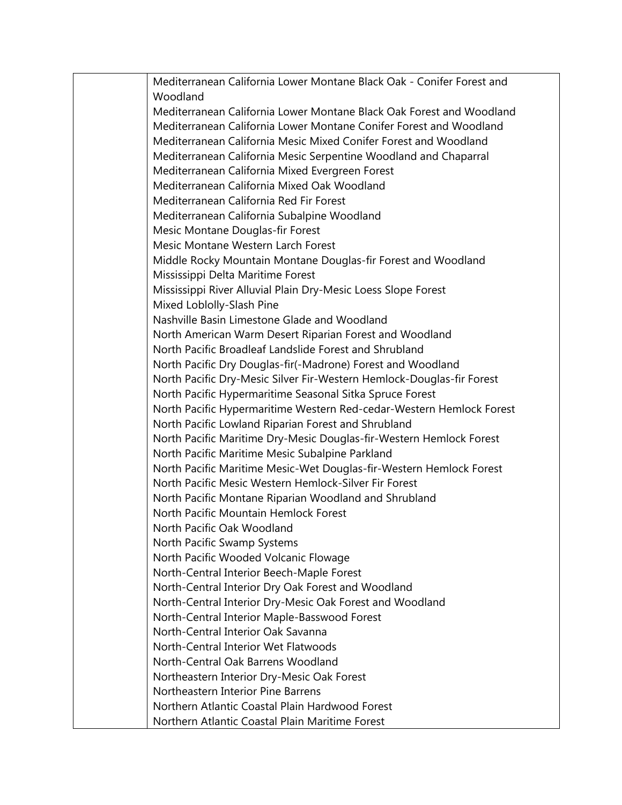Mediterranean California Lower Montane Black Oak - Conifer Forest and Woodland Mediterranean California Lower Montane Black Oak Forest and Woodland Mediterranean California Lower Montane Conifer Forest and Woodland Mediterranean California Mesic Mixed Conifer Forest and Woodland Mediterranean California Mesic Serpentine Woodland and Chaparral Mediterranean California Mixed Evergreen Forest Mediterranean California Mixed Oak Woodland Mediterranean California Red Fir Forest Mediterranean California Subalpine Woodland Mesic Montane Douglas-fir Forest Mesic Montane Western Larch Forest Middle Rocky Mountain Montane Douglas-fir Forest and Woodland Mississippi Delta Maritime Forest Mississippi River Alluvial Plain Dry-Mesic Loess Slope Forest Mixed Loblolly-Slash Pine Nashville Basin Limestone Glade and Woodland North American Warm Desert Riparian Forest and Woodland North Pacific Broadleaf Landslide Forest and Shrubland North Pacific Dry Douglas-fir(-Madrone) Forest and Woodland North Pacific Dry-Mesic Silver Fir-Western Hemlock-Douglas-fir Forest North Pacific Hypermaritime Seasonal Sitka Spruce Forest North Pacific Hypermaritime Western Red-cedar-Western Hemlock Forest North Pacific Lowland Riparian Forest and Shrubland North Pacific Maritime Dry-Mesic Douglas-fir-Western Hemlock Forest North Pacific Maritime Mesic Subalpine Parkland North Pacific Maritime Mesic-Wet Douglas-fir-Western Hemlock Forest North Pacific Mesic Western Hemlock-Silver Fir Forest North Pacific Montane Riparian Woodland and Shrubland North Pacific Mountain Hemlock Forest North Pacific Oak Woodland North Pacific Swamp Systems North Pacific Wooded Volcanic Flowage North-Central Interior Beech-Maple Forest North-Central Interior Dry Oak Forest and Woodland North-Central Interior Dry-Mesic Oak Forest and Woodland North-Central Interior Maple-Basswood Forest North-Central Interior Oak Savanna North-Central Interior Wet Flatwoods North-Central Oak Barrens Woodland Northeastern Interior Dry-Mesic Oak Forest Northeastern Interior Pine Barrens Northern Atlantic Coastal Plain Hardwood Forest Northern Atlantic Coastal Plain Maritime Forest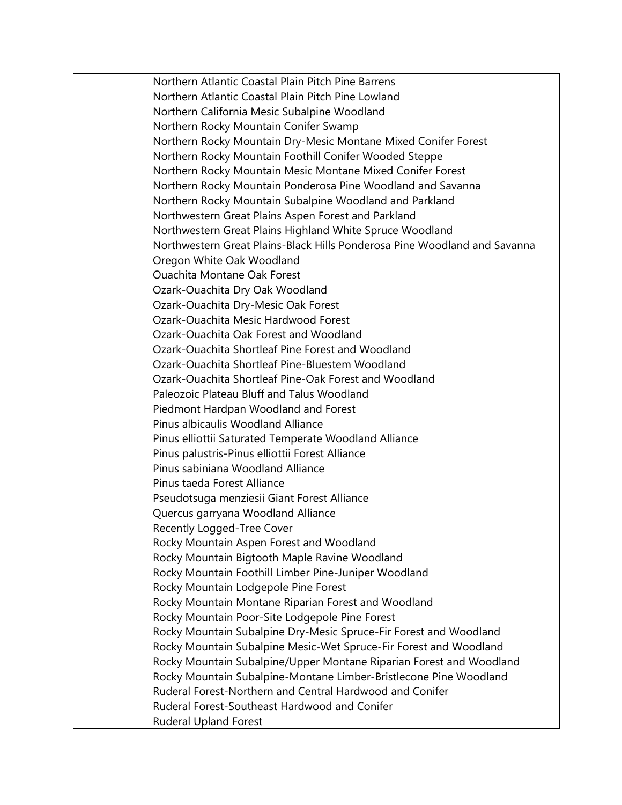Northern Atlantic Coastal Plain Pitch Pine Barrens Northern Atlantic Coastal Plain Pitch Pine Lowland Northern California Mesic Subalpine Woodland Northern Rocky Mountain Conifer Swamp Northern Rocky Mountain Dry-Mesic Montane Mixed Conifer Forest Northern Rocky Mountain Foothill Conifer Wooded Steppe Northern Rocky Mountain Mesic Montane Mixed Conifer Forest Northern Rocky Mountain Ponderosa Pine Woodland and Savanna Northern Rocky Mountain Subalpine Woodland and Parkland Northwestern Great Plains Aspen Forest and Parkland Northwestern Great Plains Highland White Spruce Woodland Northwestern Great Plains-Black Hills Ponderosa Pine Woodland and Savanna Oregon White Oak Woodland Ouachita Montane Oak Forest Ozark-Ouachita Dry Oak Woodland Ozark-Ouachita Dry-Mesic Oak Forest Ozark-Ouachita Mesic Hardwood Forest Ozark-Ouachita Oak Forest and Woodland Ozark-Ouachita Shortleaf Pine Forest and Woodland Ozark-Ouachita Shortleaf Pine-Bluestem Woodland Ozark-Ouachita Shortleaf Pine-Oak Forest and Woodland Paleozoic Plateau Bluff and Talus Woodland Piedmont Hardpan Woodland and Forest Pinus albicaulis Woodland Alliance Pinus elliottii Saturated Temperate Woodland Alliance Pinus palustris-Pinus elliottii Forest Alliance Pinus sabiniana Woodland Alliance Pinus taeda Forest Alliance Pseudotsuga menziesii Giant Forest Alliance Quercus garryana Woodland Alliance Recently Logged-Tree Cover Rocky Mountain Aspen Forest and Woodland Rocky Mountain Bigtooth Maple Ravine Woodland Rocky Mountain Foothill Limber Pine-Juniper Woodland Rocky Mountain Lodgepole Pine Forest Rocky Mountain Montane Riparian Forest and Woodland Rocky Mountain Poor-Site Lodgepole Pine Forest Rocky Mountain Subalpine Dry-Mesic Spruce-Fir Forest and Woodland Rocky Mountain Subalpine Mesic-Wet Spruce-Fir Forest and Woodland Rocky Mountain Subalpine/Upper Montane Riparian Forest and Woodland Rocky Mountain Subalpine-Montane Limber-Bristlecone Pine Woodland Ruderal Forest-Northern and Central Hardwood and Conifer Ruderal Forest-Southeast Hardwood and Conifer Ruderal Upland Forest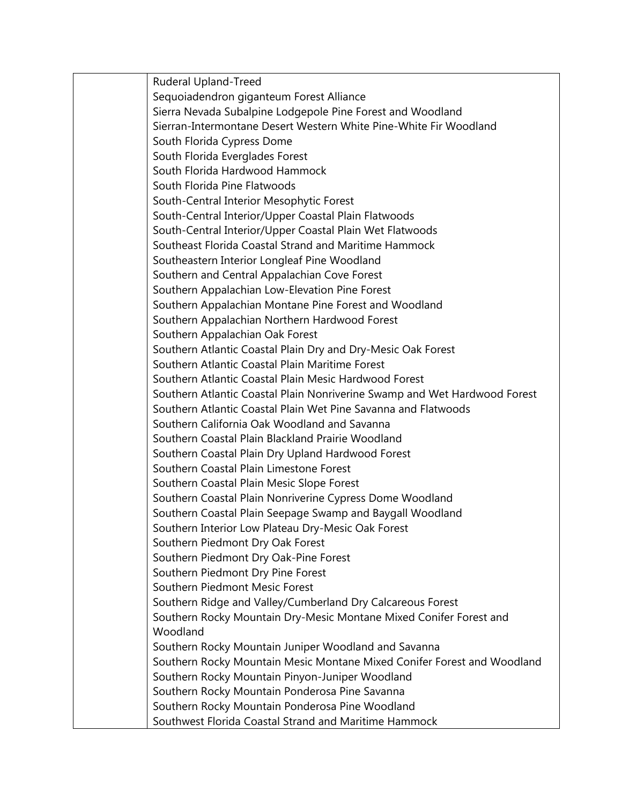Ruderal Upland-Treed Sequoiadendron giganteum Forest Alliance Sierra Nevada Subalpine Lodgepole Pine Forest and Woodland Sierran-Intermontane Desert Western White Pine-White Fir Woodland South Florida Cypress Dome South Florida Everglades Forest South Florida Hardwood Hammock South Florida Pine Flatwoods South-Central Interior Mesophytic Forest South-Central Interior/Upper Coastal Plain Flatwoods South-Central Interior/Upper Coastal Plain Wet Flatwoods Southeast Florida Coastal Strand and Maritime Hammock Southeastern Interior Longleaf Pine Woodland Southern and Central Appalachian Cove Forest Southern Appalachian Low-Elevation Pine Forest Southern Appalachian Montane Pine Forest and Woodland Southern Appalachian Northern Hardwood Forest Southern Appalachian Oak Forest Southern Atlantic Coastal Plain Dry and Dry-Mesic Oak Forest Southern Atlantic Coastal Plain Maritime Forest Southern Atlantic Coastal Plain Mesic Hardwood Forest Southern Atlantic Coastal Plain Nonriverine Swamp and Wet Hardwood Forest Southern Atlantic Coastal Plain Wet Pine Savanna and Flatwoods Southern California Oak Woodland and Savanna Southern Coastal Plain Blackland Prairie Woodland Southern Coastal Plain Dry Upland Hardwood Forest Southern Coastal Plain Limestone Forest Southern Coastal Plain Mesic Slope Forest Southern Coastal Plain Nonriverine Cypress Dome Woodland Southern Coastal Plain Seepage Swamp and Baygall Woodland Southern Interior Low Plateau Dry-Mesic Oak Forest Southern Piedmont Dry Oak Forest Southern Piedmont Dry Oak-Pine Forest Southern Piedmont Dry Pine Forest Southern Piedmont Mesic Forest Southern Ridge and Valley/Cumberland Dry Calcareous Forest Southern Rocky Mountain Dry-Mesic Montane Mixed Conifer Forest and Woodland Southern Rocky Mountain Juniper Woodland and Savanna Southern Rocky Mountain Mesic Montane Mixed Conifer Forest and Woodland Southern Rocky Mountain Pinyon-Juniper Woodland Southern Rocky Mountain Ponderosa Pine Savanna Southern Rocky Mountain Ponderosa Pine Woodland Southwest Florida Coastal Strand and Maritime Hammock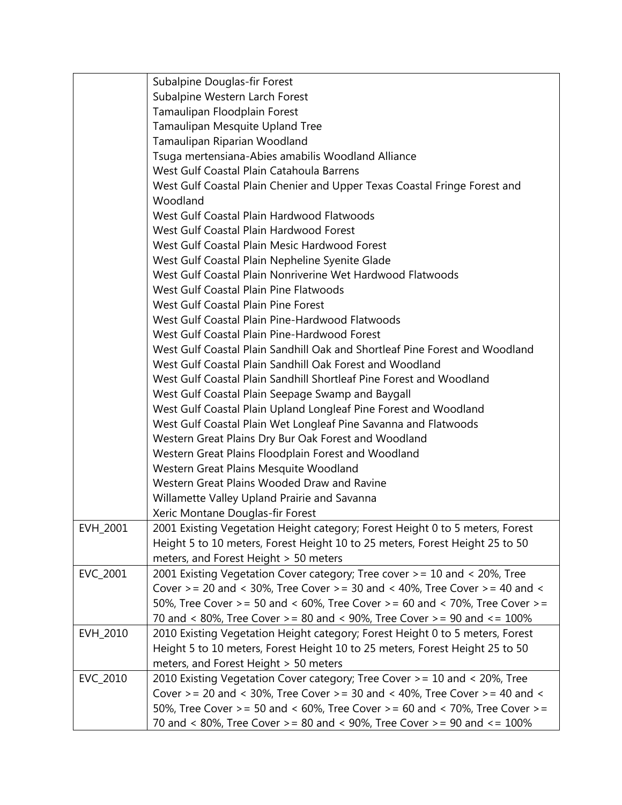|          | Subalpine Douglas-fir Forest                                                       |
|----------|------------------------------------------------------------------------------------|
|          | Subalpine Western Larch Forest                                                     |
|          | Tamaulipan Floodplain Forest                                                       |
|          | Tamaulipan Mesquite Upland Tree                                                    |
|          | Tamaulipan Riparian Woodland                                                       |
|          | Tsuga mertensiana-Abies amabilis Woodland Alliance                                 |
|          | West Gulf Coastal Plain Catahoula Barrens                                          |
|          | West Gulf Coastal Plain Chenier and Upper Texas Coastal Fringe Forest and          |
|          | Woodland                                                                           |
|          | West Gulf Coastal Plain Hardwood Flatwoods                                         |
|          | West Gulf Coastal Plain Hardwood Forest                                            |
|          | West Gulf Coastal Plain Mesic Hardwood Forest                                      |
|          | West Gulf Coastal Plain Nepheline Syenite Glade                                    |
|          | West Gulf Coastal Plain Nonriverine Wet Hardwood Flatwoods                         |
|          | West Gulf Coastal Plain Pine Flatwoods                                             |
|          | West Gulf Coastal Plain Pine Forest                                                |
|          | West Gulf Coastal Plain Pine-Hardwood Flatwoods                                    |
|          | West Gulf Coastal Plain Pine-Hardwood Forest                                       |
|          | West Gulf Coastal Plain Sandhill Oak and Shortleaf Pine Forest and Woodland        |
|          | West Gulf Coastal Plain Sandhill Oak Forest and Woodland                           |
|          | West Gulf Coastal Plain Sandhill Shortleaf Pine Forest and Woodland                |
|          | West Gulf Coastal Plain Seepage Swamp and Baygall                                  |
|          | West Gulf Coastal Plain Upland Longleaf Pine Forest and Woodland                   |
|          | West Gulf Coastal Plain Wet Longleaf Pine Savanna and Flatwoods                    |
|          | Western Great Plains Dry Bur Oak Forest and Woodland                               |
|          | Western Great Plains Floodplain Forest and Woodland                                |
|          | Western Great Plains Mesquite Woodland                                             |
|          | Western Great Plains Wooded Draw and Ravine                                        |
|          | Willamette Valley Upland Prairie and Savanna                                       |
|          | Xeric Montane Douglas-fir Forest                                                   |
| EVH_2001 | 2001 Existing Vegetation Height category; Forest Height 0 to 5 meters, Forest      |
|          | Height 5 to 10 meters, Forest Height 10 to 25 meters, Forest Height 25 to 50       |
|          | meters, and Forest Height > 50 meters                                              |
| EVC_2001 | 2001 Existing Vegetation Cover category; Tree cover > = 10 and < 20%, Tree         |
|          | Cover $>$ = 20 and < 30%, Tree Cover $>$ = 30 and < 40%, Tree Cover $>$ = 40 and < |
|          | 50%, Tree Cover > = 50 and < 60%, Tree Cover > = 60 and < 70%, Tree Cover > =      |
|          | 70 and < 80%, Tree Cover > = 80 and < 90%, Tree Cover > = 90 and < = 100%          |
| EVH_2010 | 2010 Existing Vegetation Height category; Forest Height 0 to 5 meters, Forest      |
|          | Height 5 to 10 meters, Forest Height 10 to 25 meters, Forest Height 25 to 50       |
|          | meters, and Forest Height > 50 meters                                              |
| EVC_2010 | 2010 Existing Vegetation Cover category; Tree Cover > = 10 and < 20%, Tree         |
|          | Cover > = 20 and < 30%, Tree Cover > = 30 and < 40%, Tree Cover > = 40 and <       |
|          | 50%, Tree Cover > = 50 and < 60%, Tree Cover > = 60 and < 70%, Tree Cover > =      |
|          | 70 and < 80%, Tree Cover > = 80 and < 90%, Tree Cover > = 90 and < = 100%          |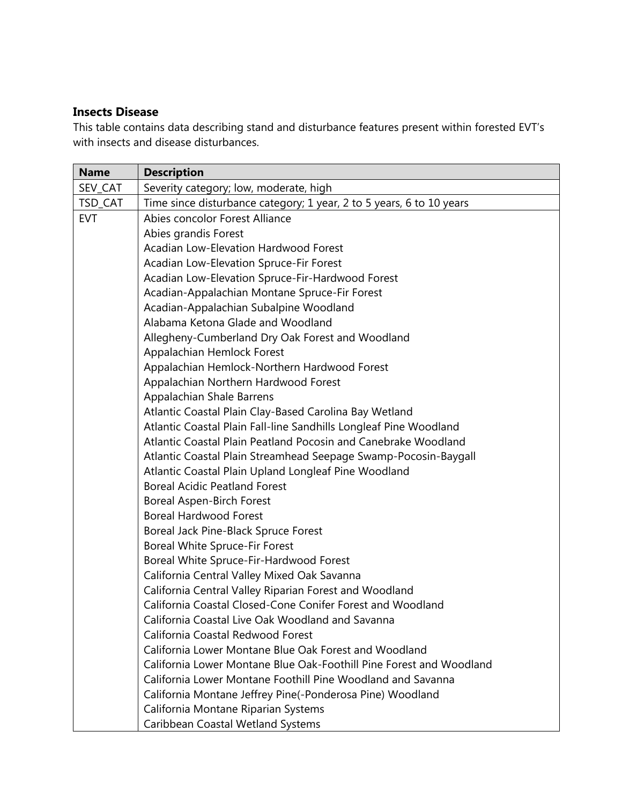## **Insects Disease**

This table contains data describing stand and disturbance features present within forested EVT's with insects and disease disturbances.

| <b>Name</b> | <b>Description</b>                                                   |
|-------------|----------------------------------------------------------------------|
| SEV_CAT     | Severity category; low, moderate, high                               |
| TSD_CAT     | Time since disturbance category; 1 year, 2 to 5 years, 6 to 10 years |
| <b>EVT</b>  | Abies concolor Forest Alliance                                       |
|             | Abies grandis Forest                                                 |
|             | <b>Acadian Low-Elevation Hardwood Forest</b>                         |
|             | Acadian Low-Elevation Spruce-Fir Forest                              |
|             | Acadian Low-Elevation Spruce-Fir-Hardwood Forest                     |
|             | Acadian-Appalachian Montane Spruce-Fir Forest                        |
|             | Acadian-Appalachian Subalpine Woodland                               |
|             | Alabama Ketona Glade and Woodland                                    |
|             | Allegheny-Cumberland Dry Oak Forest and Woodland                     |
|             | Appalachian Hemlock Forest                                           |
|             | Appalachian Hemlock-Northern Hardwood Forest                         |
|             | Appalachian Northern Hardwood Forest                                 |
|             | Appalachian Shale Barrens                                            |
|             | Atlantic Coastal Plain Clay-Based Carolina Bay Wetland               |
|             | Atlantic Coastal Plain Fall-line Sandhills Longleaf Pine Woodland    |
|             | Atlantic Coastal Plain Peatland Pocosin and Canebrake Woodland       |
|             | Atlantic Coastal Plain Streamhead Seepage Swamp-Pocosin-Baygall      |
|             | Atlantic Coastal Plain Upland Longleaf Pine Woodland                 |
|             | <b>Boreal Acidic Peatland Forest</b>                                 |
|             | <b>Boreal Aspen-Birch Forest</b>                                     |
|             | <b>Boreal Hardwood Forest</b>                                        |
|             | Boreal Jack Pine-Black Spruce Forest                                 |
|             | Boreal White Spruce-Fir Forest                                       |
|             | Boreal White Spruce-Fir-Hardwood Forest                              |
|             | California Central Valley Mixed Oak Savanna                          |
|             | California Central Valley Riparian Forest and Woodland               |
|             | California Coastal Closed-Cone Conifer Forest and Woodland           |
|             | California Coastal Live Oak Woodland and Savanna                     |
|             | California Coastal Redwood Forest                                    |
|             | California Lower Montane Blue Oak Forest and Woodland                |
|             | California Lower Montane Blue Oak-Foothill Pine Forest and Woodland  |
|             | California Lower Montane Foothill Pine Woodland and Savanna          |
|             | California Montane Jeffrey Pine(-Ponderosa Pine) Woodland            |
|             | California Montane Riparian Systems                                  |
|             | Caribbean Coastal Wetland Systems                                    |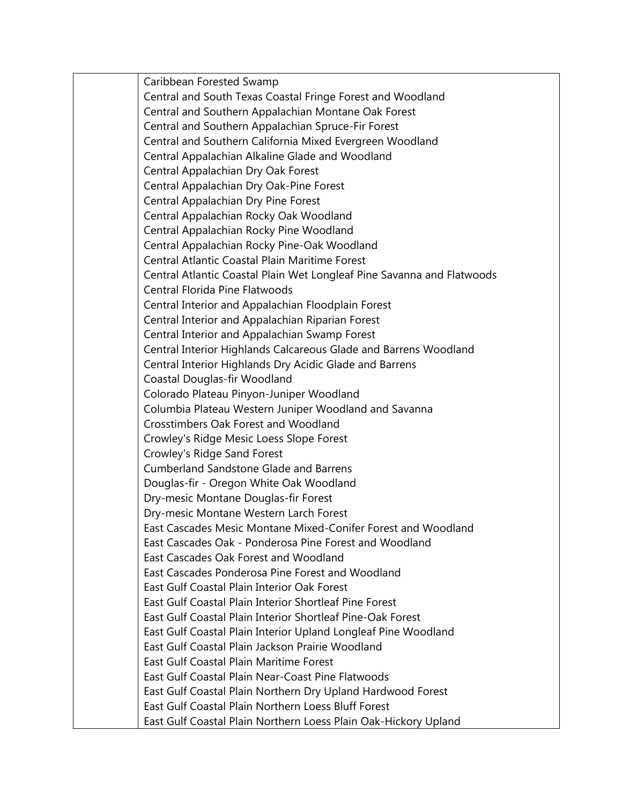| Caribbean Forested Swamp                                               |
|------------------------------------------------------------------------|
| Central and South Texas Coastal Fringe Forest and Woodland             |
| Central and Southern Appalachian Montane Oak Forest                    |
| Central and Southern Appalachian Spruce-Fir Forest                     |
| Central and Southern California Mixed Evergreen Woodland               |
| Central Appalachian Alkaline Glade and Woodland                        |
| Central Appalachian Dry Oak Forest                                     |
| Central Appalachian Dry Oak-Pine Forest                                |
| Central Appalachian Dry Pine Forest                                    |
| Central Appalachian Rocky Oak Woodland                                 |
| Central Appalachian Rocky Pine Woodland                                |
| Central Appalachian Rocky Pine-Oak Woodland                            |
| <b>Central Atlantic Coastal Plain Maritime Forest</b>                  |
| Central Atlantic Coastal Plain Wet Longleaf Pine Savanna and Flatwoods |
| <b>Central Florida Pine Flatwoods</b>                                  |
| Central Interior and Appalachian Floodplain Forest                     |
| Central Interior and Appalachian Riparian Forest                       |
| Central Interior and Appalachian Swamp Forest                          |
| Central Interior Highlands Calcareous Glade and Barrens Woodland       |
| Central Interior Highlands Dry Acidic Glade and Barrens                |
| Coastal Douglas-fir Woodland                                           |
| Colorado Plateau Pinyon-Juniper Woodland                               |
| Columbia Plateau Western Juniper Woodland and Savanna                  |
| <b>Crosstimbers Oak Forest and Woodland</b>                            |
| Crowley's Ridge Mesic Loess Slope Forest                               |
| Crowley's Ridge Sand Forest                                            |
| <b>Cumberland Sandstone Glade and Barrens</b>                          |
| Douglas-fir - Oregon White Oak Woodland                                |
| Dry-mesic Montane Douglas-fir Forest                                   |
| Dry-mesic Montane Western Larch Forest                                 |
| East Cascades Mesic Montane Mixed-Conifer Forest and Woodland          |
| East Cascades Oak - Ponderosa Pine Forest and Woodland                 |
| East Cascades Oak Forest and Woodland                                  |
| East Cascades Ponderosa Pine Forest and Woodland                       |
| East Gulf Coastal Plain Interior Oak Forest                            |
| East Gulf Coastal Plain Interior Shortleaf Pine Forest                 |
| East Gulf Coastal Plain Interior Shortleaf Pine-Oak Forest             |
| East Gulf Coastal Plain Interior Upland Longleaf Pine Woodland         |
| East Gulf Coastal Plain Jackson Prairie Woodland                       |
| East Gulf Coastal Plain Maritime Forest                                |
| East Gulf Coastal Plain Near-Coast Pine Flatwoods                      |
| East Gulf Coastal Plain Northern Dry Upland Hardwood Forest            |
| East Gulf Coastal Plain Northern Loess Bluff Forest                    |
| East Gulf Coastal Plain Northern Loess Plain Oak-Hickory Upland        |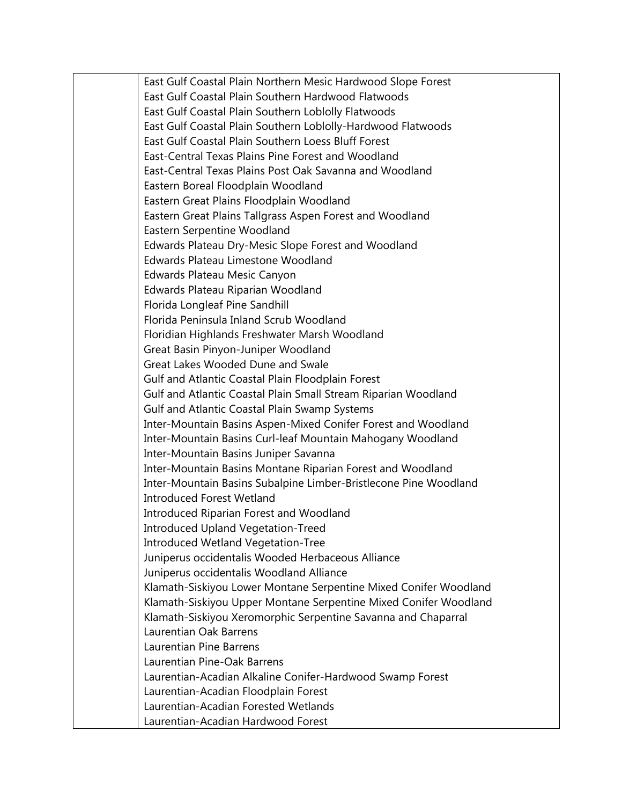East Gulf Coastal Plain Northern Mesic Hardwood Slope Forest East Gulf Coastal Plain Southern Hardwood Flatwoods East Gulf Coastal Plain Southern Loblolly Flatwoods East Gulf Coastal Plain Southern Loblolly-Hardwood Flatwoods East Gulf Coastal Plain Southern Loess Bluff Forest East-Central Texas Plains Pine Forest and Woodland East-Central Texas Plains Post Oak Savanna and Woodland Eastern Boreal Floodplain Woodland Eastern Great Plains Floodplain Woodland Eastern Great Plains Tallgrass Aspen Forest and Woodland Eastern Serpentine Woodland Edwards Plateau Dry-Mesic Slope Forest and Woodland Edwards Plateau Limestone Woodland Edwards Plateau Mesic Canyon Edwards Plateau Riparian Woodland Florida Longleaf Pine Sandhill Florida Peninsula Inland Scrub Woodland Floridian Highlands Freshwater Marsh Woodland Great Basin Pinyon-Juniper Woodland Great Lakes Wooded Dune and Swale Gulf and Atlantic Coastal Plain Floodplain Forest Gulf and Atlantic Coastal Plain Small Stream Riparian Woodland Gulf and Atlantic Coastal Plain Swamp Systems Inter-Mountain Basins Aspen-Mixed Conifer Forest and Woodland Inter-Mountain Basins Curl-leaf Mountain Mahogany Woodland Inter-Mountain Basins Juniper Savanna Inter-Mountain Basins Montane Riparian Forest and Woodland Inter-Mountain Basins Subalpine Limber-Bristlecone Pine Woodland Introduced Forest Wetland Introduced Riparian Forest and Woodland Introduced Upland Vegetation-Treed Introduced Wetland Vegetation-Tree Juniperus occidentalis Wooded Herbaceous Alliance Juniperus occidentalis Woodland Alliance Klamath-Siskiyou Lower Montane Serpentine Mixed Conifer Woodland Klamath-Siskiyou Upper Montane Serpentine Mixed Conifer Woodland Klamath-Siskiyou Xeromorphic Serpentine Savanna and Chaparral Laurentian Oak Barrens Laurentian Pine Barrens Laurentian Pine-Oak Barrens Laurentian-Acadian Alkaline Conifer-Hardwood Swamp Forest Laurentian-Acadian Floodplain Forest Laurentian-Acadian Forested Wetlands Laurentian-Acadian Hardwood Forest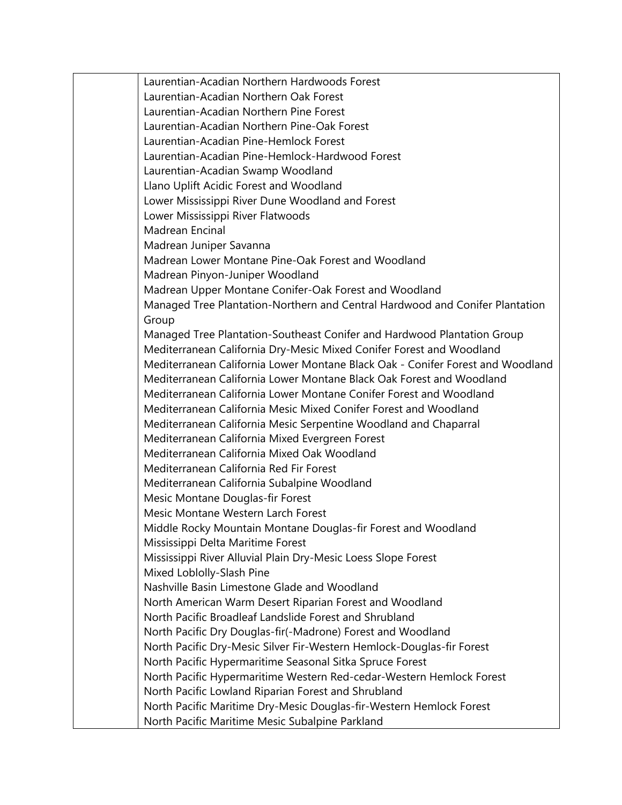| Laurentian-Acadian Northern Hardwoods Forest                                   |  |
|--------------------------------------------------------------------------------|--|
| Laurentian-Acadian Northern Oak Forest                                         |  |
| Laurentian-Acadian Northern Pine Forest                                        |  |
| Laurentian-Acadian Northern Pine-Oak Forest                                    |  |
| Laurentian-Acadian Pine-Hemlock Forest                                         |  |
| Laurentian-Acadian Pine-Hemlock-Hardwood Forest                                |  |
| Laurentian-Acadian Swamp Woodland                                              |  |
| Llano Uplift Acidic Forest and Woodland                                        |  |
| Lower Mississippi River Dune Woodland and Forest                               |  |
| Lower Mississippi River Flatwoods                                              |  |
| Madrean Encinal                                                                |  |
| Madrean Juniper Savanna                                                        |  |
| Madrean Lower Montane Pine-Oak Forest and Woodland                             |  |
| Madrean Pinyon-Juniper Woodland                                                |  |
| Madrean Upper Montane Conifer-Oak Forest and Woodland                          |  |
| Managed Tree Plantation-Northern and Central Hardwood and Conifer Plantation   |  |
| Group                                                                          |  |
| Managed Tree Plantation-Southeast Conifer and Hardwood Plantation Group        |  |
| Mediterranean California Dry-Mesic Mixed Conifer Forest and Woodland           |  |
| Mediterranean California Lower Montane Black Oak - Conifer Forest and Woodland |  |
| Mediterranean California Lower Montane Black Oak Forest and Woodland           |  |
| Mediterranean California Lower Montane Conifer Forest and Woodland             |  |
| Mediterranean California Mesic Mixed Conifer Forest and Woodland               |  |
| Mediterranean California Mesic Serpentine Woodland and Chaparral               |  |
| Mediterranean California Mixed Evergreen Forest                                |  |
| Mediterranean California Mixed Oak Woodland                                    |  |
| Mediterranean California Red Fir Forest                                        |  |
| Mediterranean California Subalpine Woodland                                    |  |
| Mesic Montane Douglas-fir Forest                                               |  |
| Mesic Montane Western Larch Forest                                             |  |
| Middle Rocky Mountain Montane Douglas-fir Forest and Woodland                  |  |
| Mississippi Delta Maritime Forest                                              |  |
| Mississippi River Alluvial Plain Dry-Mesic Loess Slope Forest                  |  |
| Mixed Loblolly-Slash Pine                                                      |  |
| Nashville Basin Limestone Glade and Woodland                                   |  |
| North American Warm Desert Riparian Forest and Woodland                        |  |
| North Pacific Broadleaf Landslide Forest and Shrubland                         |  |
| North Pacific Dry Douglas-fir(-Madrone) Forest and Woodland                    |  |
| North Pacific Dry-Mesic Silver Fir-Western Hemlock-Douglas-fir Forest          |  |
| North Pacific Hypermaritime Seasonal Sitka Spruce Forest                       |  |
| North Pacific Hypermaritime Western Red-cedar-Western Hemlock Forest           |  |
| North Pacific Lowland Riparian Forest and Shrubland                            |  |
| North Pacific Maritime Dry-Mesic Douglas-fir-Western Hemlock Forest            |  |
| North Pacific Maritime Mesic Subalpine Parkland                                |  |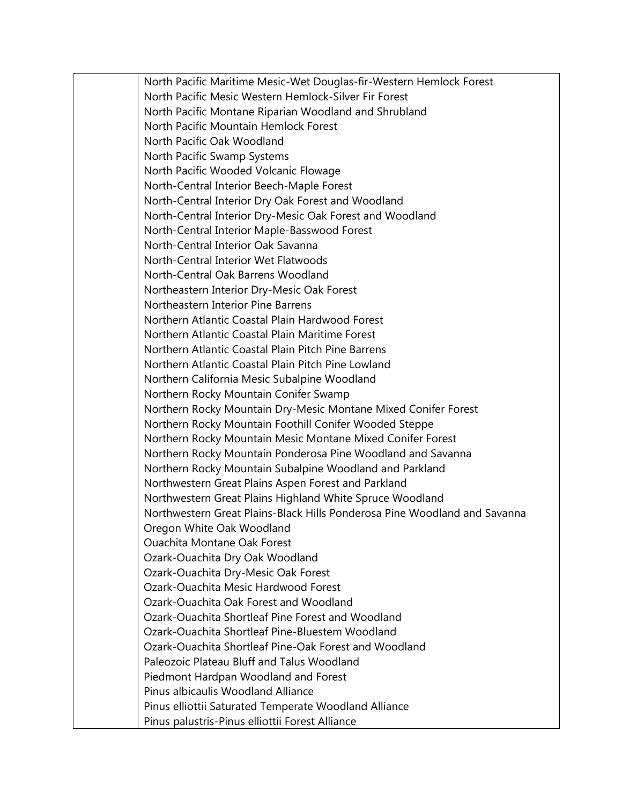North Pacific Maritime Mesic-Wet Douglas-fir-Western Hemlock Forest North Pacific Mesic Western Hemlock-Silver Fir Forest North Pacific Montane Riparian Woodland and Shrubland North Pacific Mountain Hemlock Forest North Pacific Oak Woodland North Pacific Swamp Systems North Pacific Wooded Volcanic Flowage North-Central Interior Beech-Maple Forest North-Central Interior Dry Oak Forest and Woodland North-Central Interior Dry-Mesic Oak Forest and Woodland North-Central Interior Maple-Basswood Forest North-Central Interior Oak Savanna North-Central Interior Wet Flatwoods North-Central Oak Barrens Woodland Northeastern Interior Dry-Mesic Oak Forest Northeastern Interior Pine Barrens Northern Atlantic Coastal Plain Hardwood Forest Northern Atlantic Coastal Plain Maritime Forest Northern Atlantic Coastal Plain Pitch Pine Barrens Northern Atlantic Coastal Plain Pitch Pine Lowland Northern California Mesic Subalpine Woodland Northern Rocky Mountain Conifer Swamp Northern Rocky Mountain Dry-Mesic Montane Mixed Conifer Forest Northern Rocky Mountain Foothill Conifer Wooded Steppe Northern Rocky Mountain Mesic Montane Mixed Conifer Forest Northern Rocky Mountain Ponderosa Pine Woodland and Savanna Northern Rocky Mountain Subalpine Woodland and Parkland Northwestern Great Plains Aspen Forest and Parkland Northwestern Great Plains Highland White Spruce Woodland Northwestern Great Plains-Black Hills Ponderosa Pine Woodland and Savanna Oregon White Oak Woodland Ouachita Montane Oak Forest Ozark-Ouachita Dry Oak Woodland Ozark-Ouachita Dry-Mesic Oak Forest Ozark-Ouachita Mesic Hardwood Forest Ozark-Ouachita Oak Forest and Woodland Ozark-Ouachita Shortleaf Pine Forest and Woodland Ozark-Ouachita Shortleaf Pine-Bluestem Woodland Ozark-Ouachita Shortleaf Pine-Oak Forest and Woodland Paleozoic Plateau Bluff and Talus Woodland Piedmont Hardpan Woodland and Forest Pinus albicaulis Woodland Alliance Pinus elliottii Saturated Temperate Woodland Alliance Pinus palustris-Pinus elliottii Forest Alliance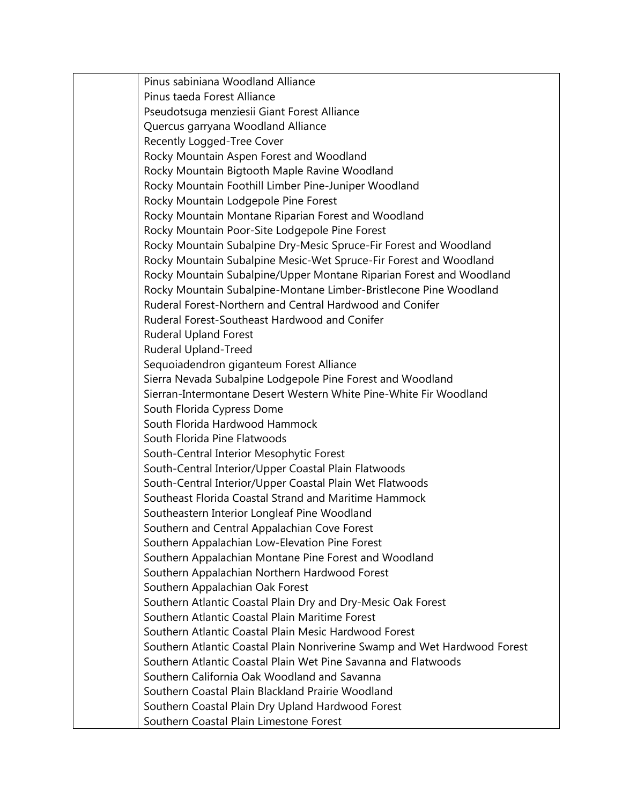Pinus sabiniana Woodland Alliance Pinus taeda Forest Alliance Pseudotsuga menziesii Giant Forest Alliance Quercus garryana Woodland Alliance Recently Logged-Tree Cover Rocky Mountain Aspen Forest and Woodland Rocky Mountain Bigtooth Maple Ravine Woodland Rocky Mountain Foothill Limber Pine-Juniper Woodland Rocky Mountain Lodgepole Pine Forest Rocky Mountain Montane Riparian Forest and Woodland Rocky Mountain Poor-Site Lodgepole Pine Forest Rocky Mountain Subalpine Dry-Mesic Spruce-Fir Forest and Woodland Rocky Mountain Subalpine Mesic-Wet Spruce-Fir Forest and Woodland Rocky Mountain Subalpine/Upper Montane Riparian Forest and Woodland Rocky Mountain Subalpine-Montane Limber-Bristlecone Pine Woodland Ruderal Forest-Northern and Central Hardwood and Conifer Ruderal Forest-Southeast Hardwood and Conifer Ruderal Upland Forest Ruderal Upland-Treed Sequoiadendron giganteum Forest Alliance Sierra Nevada Subalpine Lodgepole Pine Forest and Woodland Sierran-Intermontane Desert Western White Pine-White Fir Woodland South Florida Cypress Dome South Florida Hardwood Hammock South Florida Pine Flatwoods South-Central Interior Mesophytic Forest South-Central Interior/Upper Coastal Plain Flatwoods South-Central Interior/Upper Coastal Plain Wet Flatwoods Southeast Florida Coastal Strand and Maritime Hammock Southeastern Interior Longleaf Pine Woodland Southern and Central Appalachian Cove Forest Southern Appalachian Low-Elevation Pine Forest Southern Appalachian Montane Pine Forest and Woodland Southern Appalachian Northern Hardwood Forest Southern Appalachian Oak Forest Southern Atlantic Coastal Plain Dry and Dry-Mesic Oak Forest Southern Atlantic Coastal Plain Maritime Forest Southern Atlantic Coastal Plain Mesic Hardwood Forest Southern Atlantic Coastal Plain Nonriverine Swamp and Wet Hardwood Forest Southern Atlantic Coastal Plain Wet Pine Savanna and Flatwoods Southern California Oak Woodland and Savanna Southern Coastal Plain Blackland Prairie Woodland Southern Coastal Plain Dry Upland Hardwood Forest Southern Coastal Plain Limestone Forest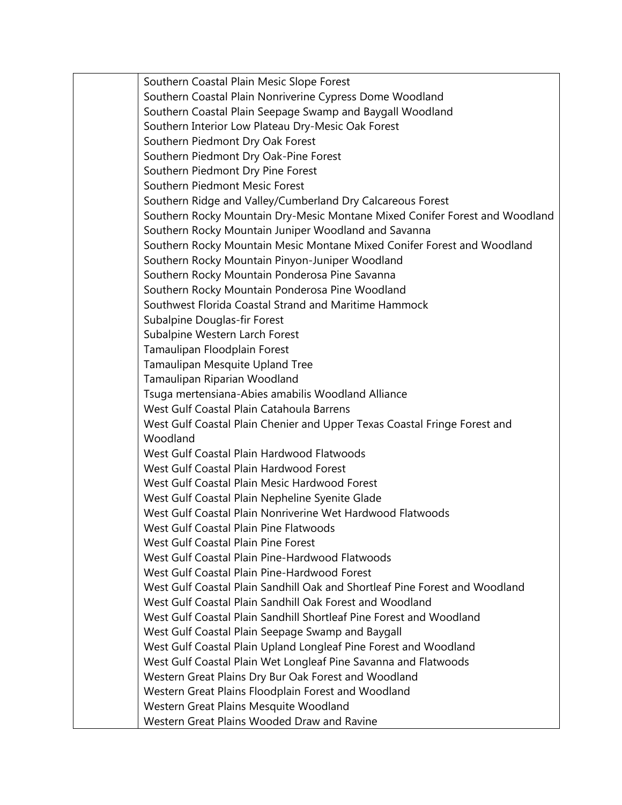Southern Coastal Plain Mesic Slope Forest Southern Coastal Plain Nonriverine Cypress Dome Woodland Southern Coastal Plain Seepage Swamp and Baygall Woodland Southern Interior Low Plateau Dry-Mesic Oak Forest Southern Piedmont Dry Oak Forest Southern Piedmont Dry Oak-Pine Forest Southern Piedmont Dry Pine Forest Southern Piedmont Mesic Forest Southern Ridge and Valley/Cumberland Dry Calcareous Forest Southern Rocky Mountain Dry-Mesic Montane Mixed Conifer Forest and Woodland Southern Rocky Mountain Juniper Woodland and Savanna Southern Rocky Mountain Mesic Montane Mixed Conifer Forest and Woodland Southern Rocky Mountain Pinyon-Juniper Woodland Southern Rocky Mountain Ponderosa Pine Savanna Southern Rocky Mountain Ponderosa Pine Woodland Southwest Florida Coastal Strand and Maritime Hammock Subalpine Douglas-fir Forest Subalpine Western Larch Forest Tamaulipan Floodplain Forest Tamaulipan Mesquite Upland Tree Tamaulipan Riparian Woodland Tsuga mertensiana-Abies amabilis Woodland Alliance West Gulf Coastal Plain Catahoula Barrens West Gulf Coastal Plain Chenier and Upper Texas Coastal Fringe Forest and Woodland West Gulf Coastal Plain Hardwood Flatwoods West Gulf Coastal Plain Hardwood Forest West Gulf Coastal Plain Mesic Hardwood Forest West Gulf Coastal Plain Nepheline Syenite Glade West Gulf Coastal Plain Nonriverine Wet Hardwood Flatwoods West Gulf Coastal Plain Pine Flatwoods West Gulf Coastal Plain Pine Forest West Gulf Coastal Plain Pine-Hardwood Flatwoods West Gulf Coastal Plain Pine-Hardwood Forest West Gulf Coastal Plain Sandhill Oak and Shortleaf Pine Forest and Woodland West Gulf Coastal Plain Sandhill Oak Forest and Woodland West Gulf Coastal Plain Sandhill Shortleaf Pine Forest and Woodland West Gulf Coastal Plain Seepage Swamp and Baygall West Gulf Coastal Plain Upland Longleaf Pine Forest and Woodland West Gulf Coastal Plain Wet Longleaf Pine Savanna and Flatwoods Western Great Plains Dry Bur Oak Forest and Woodland Western Great Plains Floodplain Forest and Woodland Western Great Plains Mesquite Woodland Western Great Plains Wooded Draw and Ravine